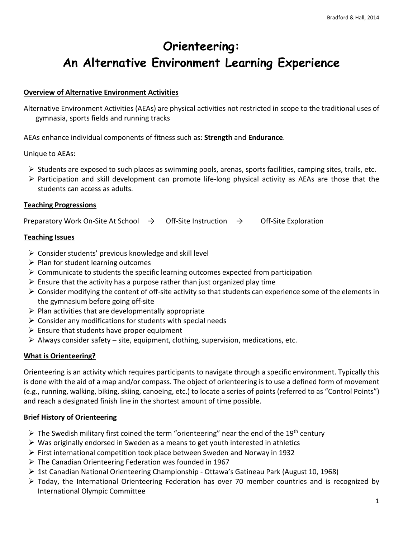# **Orienteering: An Alternative Environment Learning Experience**

# **Overview of Alternative Environment Activities**

Alternative Environment Activities (AEAs) are physical activities not restricted in scope to the traditional uses of gymnasia, sports fields and running tracks

AEAs enhance individual components of fitness such as: **Strength** and **Endurance**.

Unique to AEAs:

- $\triangleright$  Students are exposed to such places as swimming pools, arenas, sports facilities, camping sites, trails, etc.
- $\triangleright$  Participation and skill development can promote life-long physical activity as AEAs are those that the students can access as adults.

#### **Teaching Progressions**

Preparatory Work On-Site At School  $\rightarrow$  Off-Site Instruction  $\rightarrow$  Off-Site Exploration

#### **Teaching Issues**

- $\triangleright$  Consider students' previous knowledge and skill level
- $\triangleright$  Plan for student learning outcomes
- $\triangleright$  Communicate to students the specific learning outcomes expected from participation
- $\triangleright$  Ensure that the activity has a purpose rather than just organized play time
- Consider modifying the content of off-site activity so that students can experience some of the elements in the gymnasium before going off-site
- $\triangleright$  Plan activities that are developmentally appropriate
- $\triangleright$  Consider any modifications for students with special needs
- $\triangleright$  Ensure that students have proper equipment
- $\triangleright$  Always consider safety site, equipment, clothing, supervision, medications, etc.

## **What is Orienteering?**

Orienteering is an activity which requires participants to navigate through a specific environment. Typically this is done with the aid of a map and/or compass. The object of orienteering is to use a defined form of movement (e.g., running, walking, biking, skiing, canoeing, etc.) to locate a series of points (referred to as "Control Points") and reach a designated finish line in the shortest amount of time possible.

## **Brief History of Orienteering**

- $\triangleright$  The Swedish military first coined the term "orienteering" near the end of the 19<sup>th</sup> century
- $\triangleright$  Was originally endorsed in Sweden as a means to get youth interested in athletics
- $\triangleright$  First international competition took place between Sweden and Norway in 1932
- $\triangleright$  The Canadian Orienteering Federation was founded in 1967
- $\geq$  1st Canadian National Orienteering Championship Ottawa's Gatineau Park (August 10, 1968)
- $\triangleright$  Today, the International Orienteering Federation has over 70 member countries and is recognized by International Olympic Committee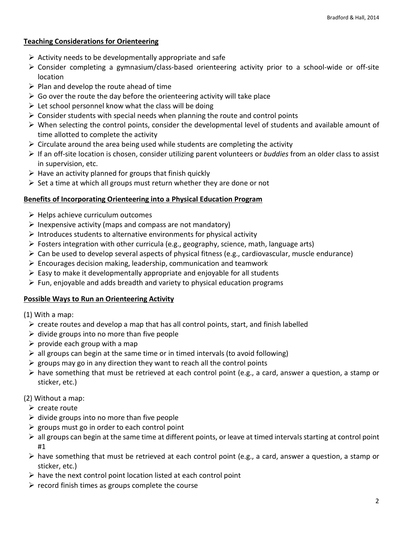# **Teaching Considerations for Orienteering**

- $\triangleright$  Activity needs to be developmentally appropriate and safe
- Consider completing a gymnasium/class-based orienteering activity prior to a school-wide or off-site location
- $\triangleright$  Plan and develop the route ahead of time
- $\triangleright$  Go over the route the day before the orienteering activity will take place
- $\triangleright$  Let school personnel know what the class will be doing
- $\triangleright$  Consider students with special needs when planning the route and control points
- $\triangleright$  When selecting the control points, consider the developmental level of students and available amount of time allotted to complete the activity
- $\triangleright$  Circulate around the area being used while students are completing the activity
- If an off-site location is chosen, consider utilizing parent volunteers or *buddies* from an older class to assist in supervision, etc.
- $\triangleright$  Have an activity planned for groups that finish quickly
- $\triangleright$  Set a time at which all groups must return whether they are done or not

## **Benefits of Incorporating Orienteering into a Physical Education Program**

- $\triangleright$  Helps achieve curriculum outcomes
- $\triangleright$  Inexpensive activity (maps and compass are not mandatory)
- $\triangleright$  Introduces students to alternative environments for physical activity
- Fosters integration with other curricula (e.g., geography, science, math, language arts)
- $\triangleright$  Can be used to develop several aspects of physical fitness (e.g., cardiovascular, muscle endurance)
- $\triangleright$  Encourages decision making, leadership, communication and teamwork
- $\triangleright$  Easy to make it developmentally appropriate and enjoyable for all students
- $\triangleright$  Fun, enjoyable and adds breadth and variety to physical education programs

## **Possible Ways to Run an Orienteering Activity**

(1) With a map:

- $\triangleright$  create routes and develop a map that has all control points, start, and finish labelled
- $\triangleright$  divide groups into no more than five people
- $\triangleright$  provide each group with a map
- $\triangleright$  all groups can begin at the same time or in timed intervals (to avoid following)
- $\triangleright$  groups may go in any direction they want to reach all the control points
- $\triangleright$  have something that must be retrieved at each control point (e.g., a card, answer a question, a stamp or sticker, etc.)

# (2) Without a map:

- $\triangleright$  create route
- $\triangleright$  divide groups into no more than five people
- $\triangleright$  groups must go in order to each control point
- $\triangleright$  all groups can begin at the same time at different points, or leave at timed intervals starting at control point #1
- $\triangleright$  have something that must be retrieved at each control point (e.g., a card, answer a question, a stamp or sticker, etc.)
- $\triangleright$  have the next control point location listed at each control point
- $\triangleright$  record finish times as groups complete the course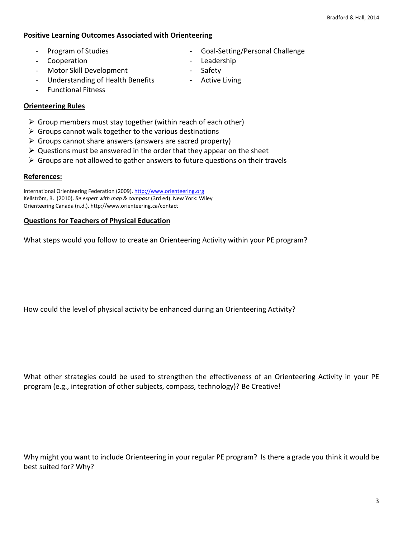#### **Positive Learning Outcomes Associated with Orienteering**

- Program of Studies Coal-Setting/Personal Challenge
- Cooperation Leadership
- Motor Skill Development Safety
- Understanding of Health Benefits Active Living
- 
- -

- Functional Fitness

## **Orienteering Rules**

- $\triangleright$  Group members must stay together (within reach of each other)
- $\triangleright$  Groups cannot walk together to the various destinations
- $\triangleright$  Groups cannot share answers (answers are sacred property)
- $\triangleright$  Questions must be answered in the order that they appear on the sheet
- $\triangleright$  Groups are not allowed to gather answers to future questions on their travels

#### **References:**

International Orienteering Federation (2009)[. http://www.orienteering.org](http://www.orienteering.org/) Kellström, B. (2010). *Be expert with map & compass* (3rd ed). New York: Wiley Orienteering Canada (n.d.). http://www.orienteering.ca/contact

#### **Questions for Teachers of Physical Education**

What steps would you follow to create an Orienteering Activity within your PE program?

How could the level of physical activity be enhanced during an Orienteering Activity?

What other strategies could be used to strengthen the effectiveness of an Orienteering Activity in your PE program (e.g., integration of other subjects, compass, technology)? Be Creative!

Why might you want to include Orienteering in your regular PE program? Is there a grade you think it would be best suited for? Why?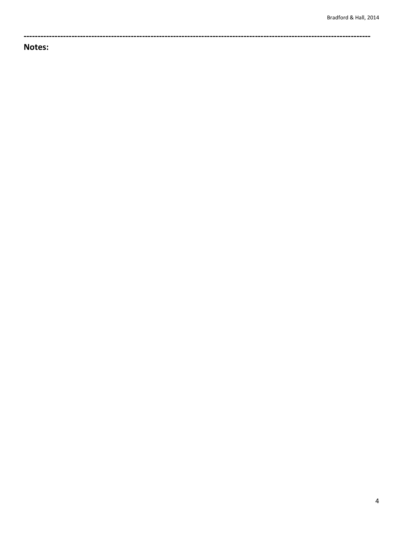Notes: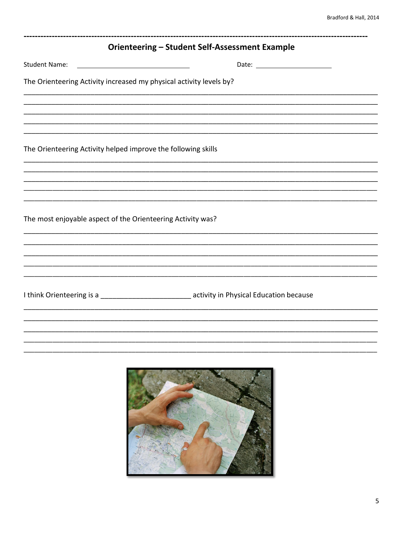|                                                                                                | <b>Orienteering - Student Self-Assessment Example</b> |  |
|------------------------------------------------------------------------------------------------|-------------------------------------------------------|--|
| <b>Student Name:</b>                                                                           |                                                       |  |
| The Orienteering Activity increased my physical activity levels by?                            |                                                       |  |
|                                                                                                |                                                       |  |
|                                                                                                |                                                       |  |
| The Orienteering Activity helped improve the following skills                                  |                                                       |  |
|                                                                                                |                                                       |  |
|                                                                                                |                                                       |  |
| The most enjoyable aspect of the Orienteering Activity was?                                    |                                                       |  |
|                                                                                                |                                                       |  |
|                                                                                                |                                                       |  |
| I think Orienteering is a _____________________________ activity in Physical Education because |                                                       |  |
|                                                                                                |                                                       |  |
|                                                                                                |                                                       |  |
|                                                                                                |                                                       |  |
|                                                                                                |                                                       |  |